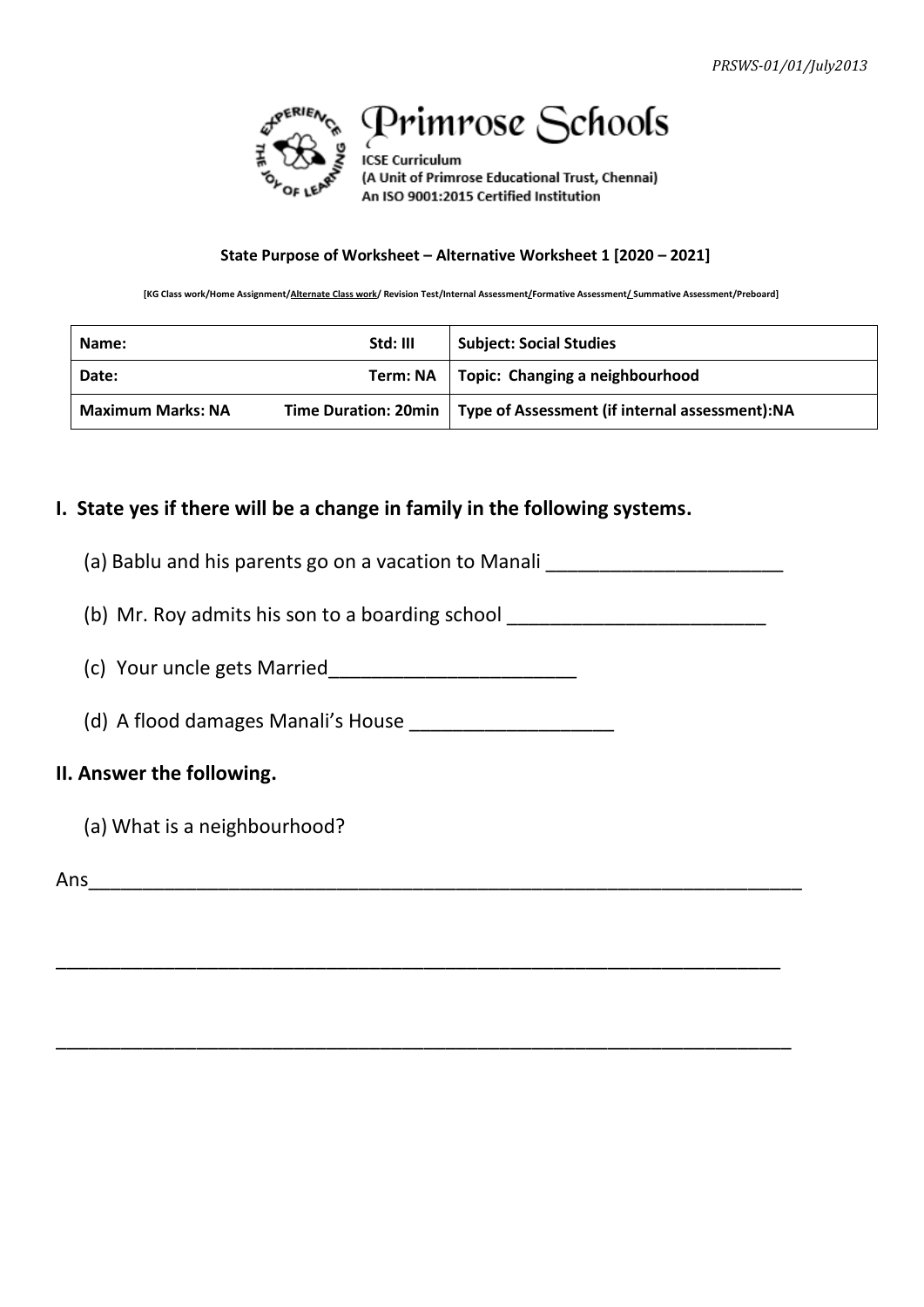

# Primrose Schools

**ICSE Curriculum** (A Unit of Primrose Educational Trust, Chennai) An ISO 9001:2015 Certified Institution

#### **State Purpose of Worksheet – Alternative Worksheet 1 [2020 – 2021]**

**[KG Class work/Home Assignment/Alternate Class work/ Revision Test/Internal Assessment/Formative Assessment/ Summative Assessment/Preboard]**

| Name:                    | Std: III | <b>Subject: Social Studies</b>                                         |
|--------------------------|----------|------------------------------------------------------------------------|
| Date:                    |          | Term: NA   Topic: Changing a neighbourhood                             |
| <b>Maximum Marks: NA</b> |          | Time Duration: 20min   Type of Assessment (if internal assessment): NA |

#### **I. State yes if there will be a change in family in the following systems.**

- (a) Bablu and his parents go on a vacation to Manali
- (b) Mr. Roy admits his son to a boarding school  $\frac{1}{\sqrt{1-\frac{1}{2}}}\left| \begin{array}{cc} 1 & 0 \\ 0 & 1 \end{array} \right|$

\_\_\_\_\_\_\_\_\_\_\_\_\_\_\_\_\_\_\_\_\_\_\_\_\_\_\_\_\_\_\_\_\_\_\_\_\_\_\_\_\_\_\_\_\_\_\_\_\_\_\_\_\_\_\_\_\_\_\_\_\_\_\_\_\_\_\_

\_\_\_\_\_\_\_\_\_\_\_\_\_\_\_\_\_\_\_\_\_\_\_\_\_\_\_\_\_\_\_\_\_\_\_\_\_\_\_\_\_\_\_\_\_\_\_\_\_\_\_\_\_\_\_\_\_\_\_\_\_\_\_\_\_\_\_\_

(c) Your uncle gets Married\_\_\_\_\_\_\_\_\_\_\_\_\_\_\_\_\_\_\_\_\_\_\_

(d) A flood damages Manali's House \_\_\_\_\_\_\_\_\_\_\_\_\_\_\_\_\_\_\_

#### **II. Answer the following.**

(a) What is a neighbourhood?

Ans